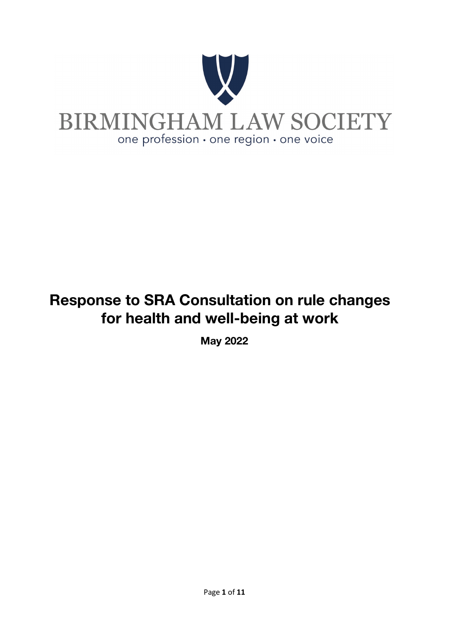

## Response to SRA Consultation on rule changes for health and well-being at work

May 2022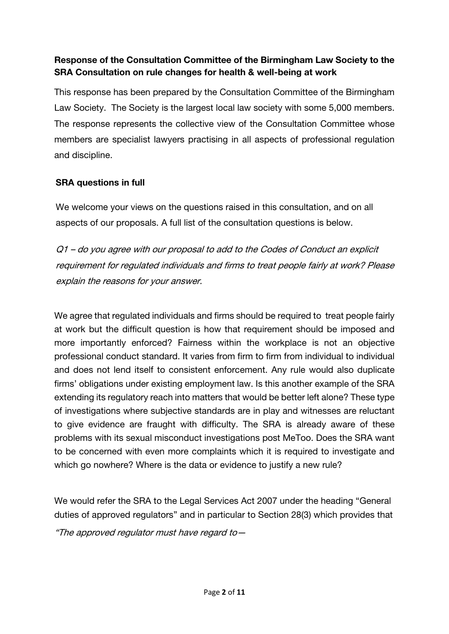## Response of the Consultation Committee of the Birmingham Law Society to the SRA Consultation on rule changes for health & well-being at work

This response has been prepared by the Consultation Committee of the Birmingham Law Society. The Society is the largest local law society with some 5,000 members. The response represents the collective view of the Consultation Committee whose members are specialist lawyers practising in all aspects of professional regulation and discipline.

## SRA questions in full

We welcome your views on the questions raised in this consultation, and on all aspects of our proposals. A full list of the consultation questions is below.

Q1 – do you agree with our proposal to add to the Codes of Conduct an explicit requirement for regulated individuals and firms to treat people fairly at work? Please explain the reasons for your answer.

We agree that regulated individuals and firms should be required to treat people fairly at work but the difficult question is how that requirement should be imposed and more importantly enforced? Fairness within the workplace is not an objective professional conduct standard. It varies from firm to firm from individual to individual and does not lend itself to consistent enforcement. Any rule would also duplicate firms' obligations under existing employment law. Is this another example of the SRA extending its regulatory reach into matters that would be better left alone? These type of investigations where subjective standards are in play and witnesses are reluctant to give evidence are fraught with difficulty. The SRA is already aware of these problems with its sexual misconduct investigations post MeToo. Does the SRA want to be concerned with even more complaints which it is required to investigate and which go nowhere? Where is the data or evidence to justify a new rule?

We would refer the SRA to the Legal Services Act 2007 under the heading "General duties of approved regulators" and in particular to Section 28(3) which provides that

"The approved regulator must have regard to—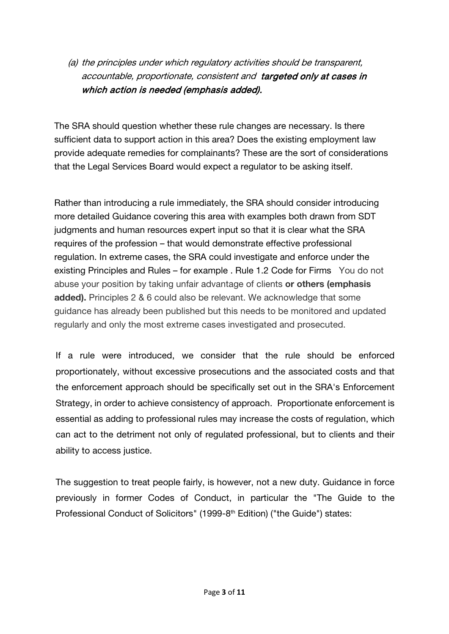(a) the principles under which regulatory activities should be transparent, accountable, proportionate, consistent and targeted only at cases in which action is needed (emphasis added).

The SRA should question whether these rule changes are necessary. Is there sufficient data to support action in this area? Does the existing employment law provide adequate remedies for complainants? These are the sort of considerations that the Legal Services Board would expect a regulator to be asking itself.

Rather than introducing a rule immediately, the SRA should consider introducing more detailed Guidance covering this area with examples both drawn from SDT judgments and human resources expert input so that it is clear what the SRA requires of the profession – that would demonstrate effective professional regulation. In extreme cases, the SRA could investigate and enforce under the existing Principles and Rules – for example . Rule 1.2 Code for Firms You do not abuse your position by taking unfair advantage of clients or others (emphasis added). Principles 2 & 6 could also be relevant. We acknowledge that some guidance has already been published but this needs to be monitored and updated regularly and only the most extreme cases investigated and prosecuted.

If a rule were introduced, we consider that the rule should be enforced proportionately, without excessive prosecutions and the associated costs and that the enforcement approach should be specifically set out in the SRA's Enforcement Strategy, in order to achieve consistency of approach. Proportionate enforcement is essential as adding to professional rules may increase the costs of regulation, which can act to the detriment not only of regulated professional, but to clients and their ability to access justice.

The suggestion to treat people fairly, is however, not a new duty. Guidance in force previously in former Codes of Conduct, in particular the "The Guide to the Professional Conduct of Solicitors" (1999-8<sup>th</sup> Edition) ("the Guide") states: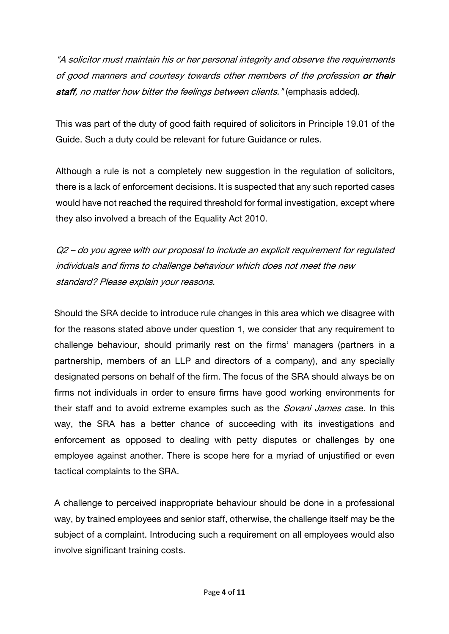"A solicitor must maintain his or her personal integrity and observe the requirements of good manners and courtesy towards other members of the profession or their staff, no matter how bitter the feelings between clients." (emphasis added).

This was part of the duty of good faith required of solicitors in Principle 19.01 of the Guide. Such a duty could be relevant for future Guidance or rules.

Although a rule is not a completely new suggestion in the regulation of solicitors, there is a lack of enforcement decisions. It is suspected that any such reported cases would have not reached the required threshold for formal investigation, except where they also involved a breach of the Equality Act 2010.

Q2 – do you agree with our proposal to include an explicit requirement for regulated individuals and firms to challenge behaviour which does not meet the new standard? Please explain your reasons.

Should the SRA decide to introduce rule changes in this area which we disagree with for the reasons stated above under question 1, we consider that any requirement to challenge behaviour, should primarily rest on the firms' managers (partners in a partnership, members of an LLP and directors of a company), and any specially designated persons on behalf of the firm. The focus of the SRA should always be on firms not individuals in order to ensure firms have good working environments for their staff and to avoid extreme examples such as the *Sovani James c*ase. In this way, the SRA has a better chance of succeeding with its investigations and enforcement as opposed to dealing with petty disputes or challenges by one employee against another. There is scope here for a myriad of unjustified or even tactical complaints to the SRA.

A challenge to perceived inappropriate behaviour should be done in a professional way, by trained employees and senior staff, otherwise, the challenge itself may be the subject of a complaint. Introducing such a requirement on all employees would also involve significant training costs.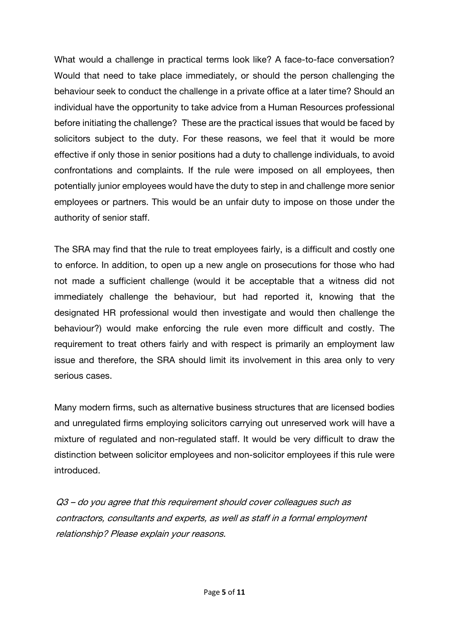What would a challenge in practical terms look like? A face-to-face conversation? Would that need to take place immediately, or should the person challenging the behaviour seek to conduct the challenge in a private office at a later time? Should an individual have the opportunity to take advice from a Human Resources professional before initiating the challenge? These are the practical issues that would be faced by solicitors subject to the duty. For these reasons, we feel that it would be more effective if only those in senior positions had a duty to challenge individuals, to avoid confrontations and complaints. If the rule were imposed on all employees, then potentially junior employees would have the duty to step in and challenge more senior employees or partners. This would be an unfair duty to impose on those under the authority of senior staff.

The SRA may find that the rule to treat employees fairly, is a difficult and costly one to enforce. In addition, to open up a new angle on prosecutions for those who had not made a sufficient challenge (would it be acceptable that a witness did not immediately challenge the behaviour, but had reported it, knowing that the designated HR professional would then investigate and would then challenge the behaviour?) would make enforcing the rule even more difficult and costly. The requirement to treat others fairly and with respect is primarily an employment law issue and therefore, the SRA should limit its involvement in this area only to very serious cases.

Many modern firms, such as alternative business structures that are licensed bodies and unregulated firms employing solicitors carrying out unreserved work will have a mixture of regulated and non-regulated staff. It would be very difficult to draw the distinction between solicitor employees and non-solicitor employees if this rule were introduced.

Q3 – do you agree that this requirement should cover colleagues such as contractors, consultants and experts, as well as staff in a formal employment relationship? Please explain your reasons.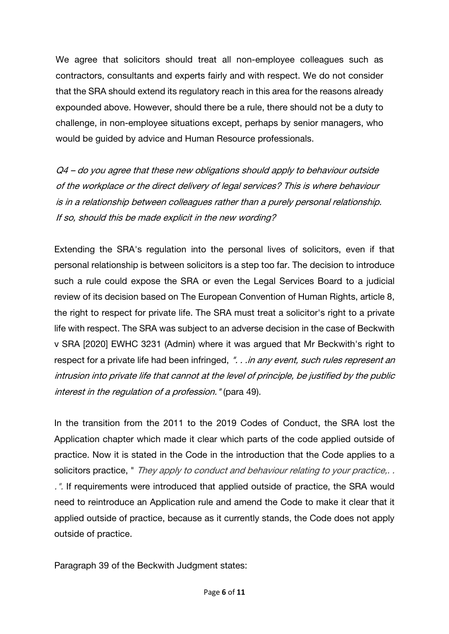We agree that solicitors should treat all non-employee colleagues such as contractors, consultants and experts fairly and with respect. We do not consider that the SRA should extend its regulatory reach in this area for the reasons already expounded above. However, should there be a rule, there should not be a duty to challenge, in non-employee situations except, perhaps by senior managers, who would be guided by advice and Human Resource professionals.

Q4 – do you agree that these new obligations should apply to behaviour outside of the workplace or the direct delivery of legal services? This is where behaviour is in a relationship between colleagues rather than a purely personal relationship. If so, should this be made explicit in the new wording?

Extending the SRA's regulation into the personal lives of solicitors, even if that personal relationship is between solicitors is a step too far. The decision to introduce such a rule could expose the SRA or even the Legal Services Board to a judicial review of its decision based on The European Convention of Human Rights, article 8, the right to respect for private life. The SRA must treat a solicitor's right to a private life with respect. The SRA was subject to an adverse decision in the case of Beckwith v SRA [2020] EWHC 3231 (Admin) where it was argued that Mr Beckwith's right to respect for a private life had been infringed, "... in any event, such rules represent an intrusion into private life that cannot at the level of principle, be justified by the public interest in the regulation of a profession." (para 49).

In the transition from the 2011 to the 2019 Codes of Conduct, the SRA lost the Application chapter which made it clear which parts of the code applied outside of practice. Now it is stated in the Code in the introduction that the Code applies to a solicitors practice, " They apply to conduct and behaviour relating to your practice,.. .". If requirements were introduced that applied outside of practice, the SRA would need to reintroduce an Application rule and amend the Code to make it clear that it applied outside of practice, because as it currently stands, the Code does not apply outside of practice.

Paragraph 39 of the Beckwith Judgment states: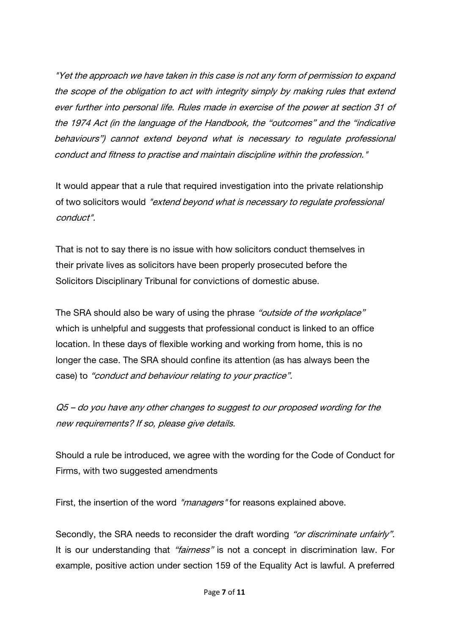"Yet the approach we have taken in this case is not any form of permission to expand the scope of the obligation to act with integrity simply by making rules that extend ever further into personal life. Rules made in exercise of the power at section 31 of the 1974 Act (in the language of the Handbook, the "outcomes" and the "indicative behaviours") cannot extend beyond what is necessary to regulate professional conduct and fitness to practise and maintain discipline within the profession."

It would appear that a rule that required investigation into the private relationship of two solicitors would "extend beyond what is necessary to regulate professional conduct".

That is not to say there is no issue with how solicitors conduct themselves in their private lives as solicitors have been properly prosecuted before the Solicitors Disciplinary Tribunal for convictions of domestic abuse.

The SRA should also be wary of using the phrase "outside of the workplace" which is unhelpful and suggests that professional conduct is linked to an office location. In these days of flexible working and working from home, this is no longer the case. The SRA should confine its attention (as has always been the case) to "conduct and behaviour relating to your practice".

Q5 – do you have any other changes to suggest to our proposed wording for the new requirements? If so, please give details.

Should a rule be introduced, we agree with the wording for the Code of Conduct for Firms, with two suggested amendments

First, the insertion of the word "managers" for reasons explained above.

Secondly, the SRA needs to reconsider the draft wording "or discriminate unfairly". It is our understanding that "fairness" is not a concept in discrimination law. For example, positive action under section 159 of the Equality Act is lawful. A preferred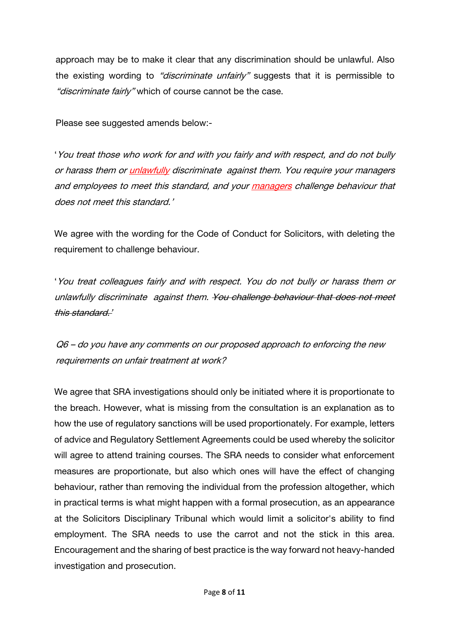approach may be to make it clear that any discrimination should be unlawful. Also the existing wording to "discriminate unfairly" suggests that it is permissible to "discriminate fairly" which of course cannot be the case.

Please see suggested amends below:-

'You treat those who work for and with you fairly and with respect, and do not bully or harass them or unlawfully discriminate against them. You require your managers and employees to meet this standard, and your managers challenge behaviour that does not meet this standard.'

We agree with the wording for the Code of Conduct for Solicitors, with deleting the requirement to challenge behaviour.

'You treat colleagues fairly and with respect. You do not bully or harass them or unlawfully discriminate against them. You challenge behaviour that does not meet this standard.'

Q6 – do you have any comments on our proposed approach to enforcing the new requirements on unfair treatment at work?

We agree that SRA investigations should only be initiated where it is proportionate to the breach. However, what is missing from the consultation is an explanation as to how the use of regulatory sanctions will be used proportionately. For example, letters of advice and Regulatory Settlement Agreements could be used whereby the solicitor will agree to attend training courses. The SRA needs to consider what enforcement measures are proportionate, but also which ones will have the effect of changing behaviour, rather than removing the individual from the profession altogether, which in practical terms is what might happen with a formal prosecution, as an appearance at the Solicitors Disciplinary Tribunal which would limit a solicitor's ability to find employment. The SRA needs to use the carrot and not the stick in this area. Encouragement and the sharing of best practice is the way forward not heavy-handed investigation and prosecution.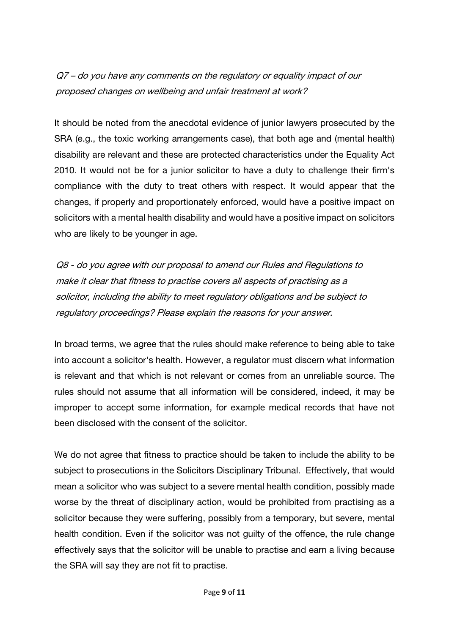Q7 – do you have any comments on the regulatory or equality impact of our proposed changes on wellbeing and unfair treatment at work?

It should be noted from the anecdotal evidence of junior lawyers prosecuted by the SRA (e.g., the toxic working arrangements case), that both age and (mental health) disability are relevant and these are protected characteristics under the Equality Act 2010. It would not be for a junior solicitor to have a duty to challenge their firm's compliance with the duty to treat others with respect. It would appear that the changes, if properly and proportionately enforced, would have a positive impact on solicitors with a mental health disability and would have a positive impact on solicitors who are likely to be younger in age.

Q8 - do you agree with our proposal to amend our Rules and Regulations to make it clear that fitness to practise covers all aspects of practising as <sup>a</sup> solicitor, including the ability to meet regulatory obligations and be subject to regulatory proceedings? Please explain the reasons for your answer.

In broad terms, we agree that the rules should make reference to being able to take into account a solicitor's health. However, a regulator must discern what information is relevant and that which is not relevant or comes from an unreliable source. The rules should not assume that all information will be considered, indeed, it may be improper to accept some information, for example medical records that have not been disclosed with the consent of the solicitor.

We do not agree that fitness to practice should be taken to include the ability to be subject to prosecutions in the Solicitors Disciplinary Tribunal. Effectively, that would mean a solicitor who was subject to a severe mental health condition, possibly made worse by the threat of disciplinary action, would be prohibited from practising as a solicitor because they were suffering, possibly from a temporary, but severe, mental health condition. Even if the solicitor was not guilty of the offence, the rule change effectively says that the solicitor will be unable to practise and earn a living because the SRA will say they are not fit to practise.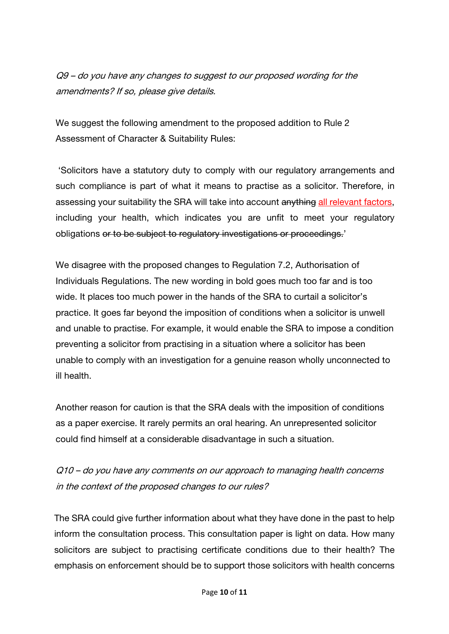Q9 – do you have any changes to suggest to our proposed wording for the amendments? If so, please give details.

We suggest the following amendment to the proposed addition to Rule 2 Assessment of Character & Suitability Rules:

'Solicitors have a statutory duty to comply with our regulatory arrangements and such compliance is part of what it means to practise as a solicitor. Therefore, in assessing your suitability the SRA will take into account anything all relevant factors. including your health, which indicates you are unfit to meet your regulatory obligations or to be subject to regulatory investigations or proceedings.'

We disagree with the proposed changes to Regulation 7.2, Authorisation of Individuals Regulations. The new wording in bold goes much too far and is too wide. It places too much power in the hands of the SRA to curtail a solicitor's practice. It goes far beyond the imposition of conditions when a solicitor is unwell and unable to practise. For example, it would enable the SRA to impose a condition preventing a solicitor from practising in a situation where a solicitor has been unable to comply with an investigation for a genuine reason wholly unconnected to ill health.

Another reason for caution is that the SRA deals with the imposition of conditions as a paper exercise. It rarely permits an oral hearing. An unrepresented solicitor could find himself at a considerable disadvantage in such a situation.

Q10 – do you have any comments on our approach to managing health concerns in the context of the proposed changes to our rules?

The SRA could give further information about what they have done in the past to help inform the consultation process. This consultation paper is light on data. How many solicitors are subject to practising certificate conditions due to their health? The emphasis on enforcement should be to support those solicitors with health concerns